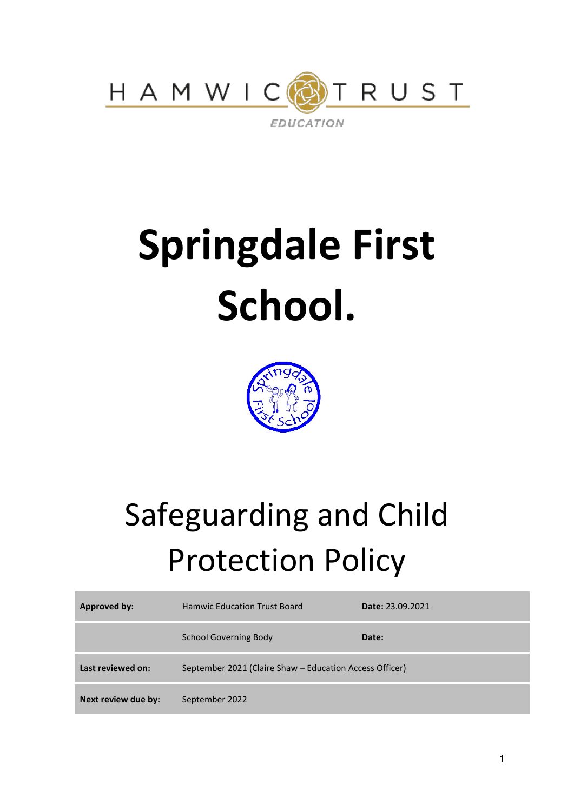

# **Springdale First School.**



# Safeguarding and Child Protection Policy

| Approved by:        | <b>Hamwic Education Trust Board</b>                     | Date: 23.09.2021 |
|---------------------|---------------------------------------------------------|------------------|
|                     | <b>School Governing Body</b>                            | Date:            |
| Last reviewed on:   | September 2021 (Claire Shaw – Education Access Officer) |                  |
| Next review due by: | September 2022                                          |                  |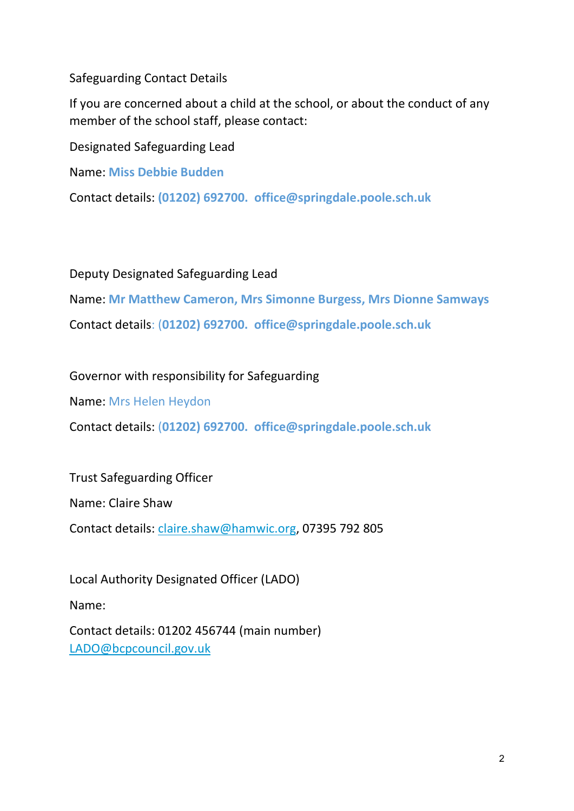Safeguarding Contact Details

If you are concerned about a child at the school, or about the conduct of any member of the school staff, please contact:

Designated Safeguarding Lead

Name: **Miss Debbie Budden**

Contact details: **(01202) 692700. office@springdale.poole.sch.uk**

Deputy Designated Safeguarding Lead

Name: **Mr Matthew Cameron, Mrs Simonne Burgess, Mrs Dionne Samways** Contact details: (**01202) 692700. office@springdale.poole.sch.uk**

Governor with responsibility for Safeguarding

Name: Mrs Helen Heydon

Contact details: (**01202) 692700. office@springdale.poole.sch.uk**

Trust Safeguarding Officer

Name: Claire Shaw

Contact details: [claire.shaw@hamwic.org,](mailto:claire.shaw@hamwic.org) 07395 792 805

Local Authority Designated Officer (LADO) Name: Contact details: 01202 456744 (main number) [LADO@bcpcouncil.gov.uk](mailto:LADO@bcpcouncil.gov.uk)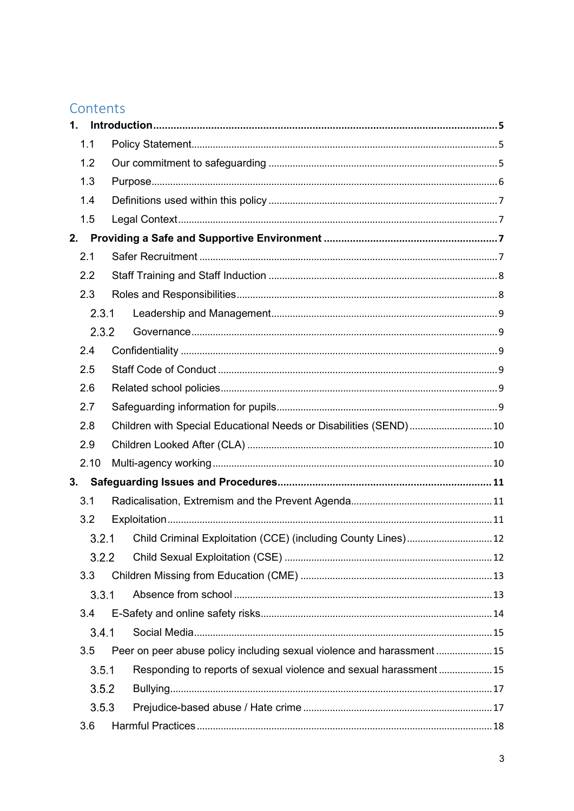# Contents

| $\mathbf{1}$ . |                                                                   |                                                                        |  |  |
|----------------|-------------------------------------------------------------------|------------------------------------------------------------------------|--|--|
| 1.1            |                                                                   |                                                                        |  |  |
| 1.2            |                                                                   |                                                                        |  |  |
| 1.3            |                                                                   |                                                                        |  |  |
| 1.4            |                                                                   |                                                                        |  |  |
| 1.5            |                                                                   |                                                                        |  |  |
| 2.             |                                                                   |                                                                        |  |  |
| 2.1            |                                                                   |                                                                        |  |  |
| 2.2            |                                                                   |                                                                        |  |  |
| 2.3            |                                                                   |                                                                        |  |  |
| 2.3.1          |                                                                   |                                                                        |  |  |
|                | 2.3.2                                                             |                                                                        |  |  |
| 2.4            |                                                                   |                                                                        |  |  |
| 2.5            |                                                                   |                                                                        |  |  |
| 2.6            |                                                                   |                                                                        |  |  |
| 2.7            |                                                                   |                                                                        |  |  |
| 2.8            | Children with Special Educational Needs or Disabilities (SEND) 10 |                                                                        |  |  |
| 2.9            |                                                                   |                                                                        |  |  |
| 2.10           |                                                                   |                                                                        |  |  |
| 3.             |                                                                   |                                                                        |  |  |
| 3.1            |                                                                   |                                                                        |  |  |
| 3.2            |                                                                   |                                                                        |  |  |
| 3.2.1          |                                                                   | Child Criminal Exploitation (CCE) (including County Lines) 12          |  |  |
|                | 3.2.2                                                             |                                                                        |  |  |
| 3.3            |                                                                   |                                                                        |  |  |
| 3.3.1          |                                                                   |                                                                        |  |  |
| 3.4            |                                                                   |                                                                        |  |  |
| 3.4.1          |                                                                   |                                                                        |  |  |
| 3.5            |                                                                   | Peer on peer abuse policy including sexual violence and harassment  15 |  |  |
| 3.5.1          |                                                                   | Responding to reports of sexual violence and sexual harassment 15      |  |  |
| 3.5.2          |                                                                   |                                                                        |  |  |
| 3.5.3          |                                                                   |                                                                        |  |  |
| 3.6            |                                                                   |                                                                        |  |  |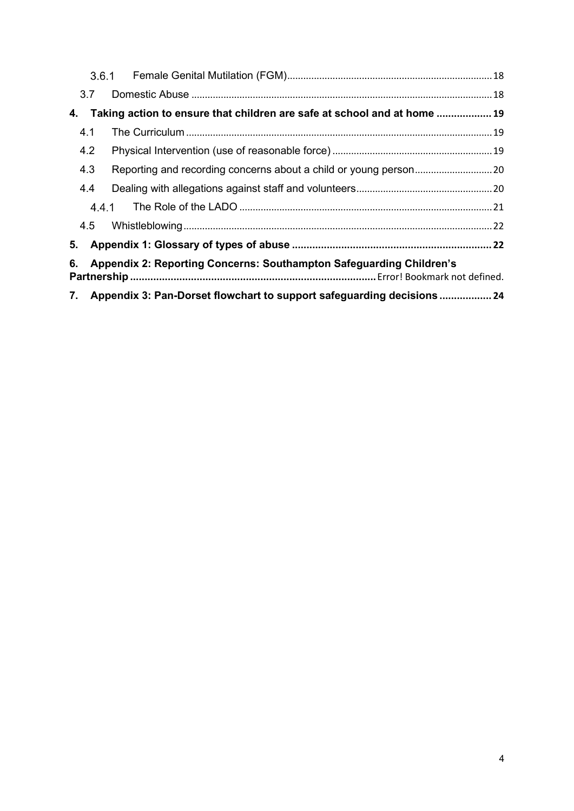|                                                                           | 3.6.1                                                                     |                                                                          |  |  |
|---------------------------------------------------------------------------|---------------------------------------------------------------------------|--------------------------------------------------------------------------|--|--|
|                                                                           | 3.7                                                                       |                                                                          |  |  |
| 4.                                                                        |                                                                           | Taking action to ensure that children are safe at school and at home  19 |  |  |
|                                                                           | 4.1                                                                       |                                                                          |  |  |
|                                                                           | 4.2                                                                       |                                                                          |  |  |
|                                                                           | 4.3                                                                       |                                                                          |  |  |
|                                                                           | 4.4                                                                       |                                                                          |  |  |
|                                                                           | 4.4.1                                                                     |                                                                          |  |  |
|                                                                           | 4.5                                                                       |                                                                          |  |  |
|                                                                           |                                                                           |                                                                          |  |  |
| Appendix 2: Reporting Concerns: Southampton Safeguarding Children's<br>6. |                                                                           |                                                                          |  |  |
|                                                                           | 7. Appendix 3: Pan-Dorset flowchart to support safeguarding decisions  24 |                                                                          |  |  |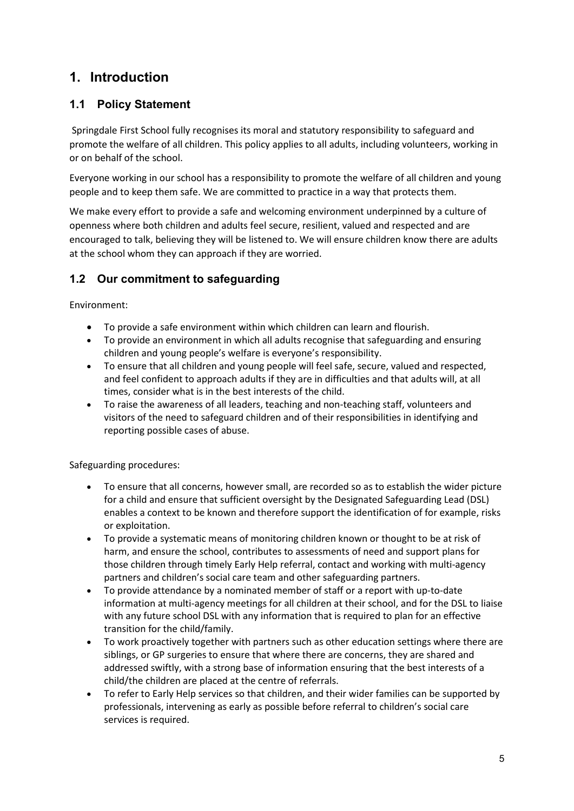# **1. Introduction**

#### **1.1 Policy Statement**

Springdale First School fully recognises its moral and statutory responsibility to safeguard and promote the welfare of all children. This policy applies to all adults, including volunteers, working in or on behalf of the school.

Everyone working in our school has a responsibility to promote the welfare of all children and young people and to keep them safe. We are committed to practice in a way that protects them.

We make every effort to provide a safe and welcoming environment underpinned by a culture of openness where both children and adults feel secure, resilient, valued and respected and are encouraged to talk, believing they will be listened to. We will ensure children know there are adults at the school whom they can approach if they are worried.

#### **1.2 Our commitment to safeguarding**

Environment:

- To provide a safe environment within which children can learn and flourish.
- To provide an environment in which all adults recognise that safeguarding and ensuring children and young people's welfare is everyone's responsibility.
- To ensure that all children and young people will feel safe, secure, valued and respected, and feel confident to approach adults if they are in difficulties and that adults will, at all times, consider what is in the best interests of the child.
- To raise the awareness of all leaders, teaching and non-teaching staff, volunteers and visitors of the need to safeguard children and of their responsibilities in identifying and reporting possible cases of abuse.

Safeguarding procedures:

- To ensure that all concerns, however small, are recorded so as to establish the wider picture for a child and ensure that sufficient oversight by the Designated Safeguarding Lead (DSL) enables a context to be known and therefore support the identification of for example, risks or exploitation.
- To provide a systematic means of monitoring children known or thought to be at risk of harm, and ensure the school, contributes to assessments of need and support plans for those children through timely Early Help referral, contact and working with multi-agency partners and children's social care team and other safeguarding partners.
- To provide attendance by a nominated member of staff or a report with up-to-date information at multi-agency meetings for all children at their school, and for the DSL to liaise with any future school DSL with any information that is required to plan for an effective transition for the child/family.
- To work proactively together with partners such as other education settings where there are siblings, or GP surgeries to ensure that where there are concerns, they are shared and addressed swiftly, with a strong base of information ensuring that the best interests of a child/the children are placed at the centre of referrals.
- To refer to Early Help services so that children, and their wider families can be supported by professionals, intervening as early as possible before referral to children's social care services is required.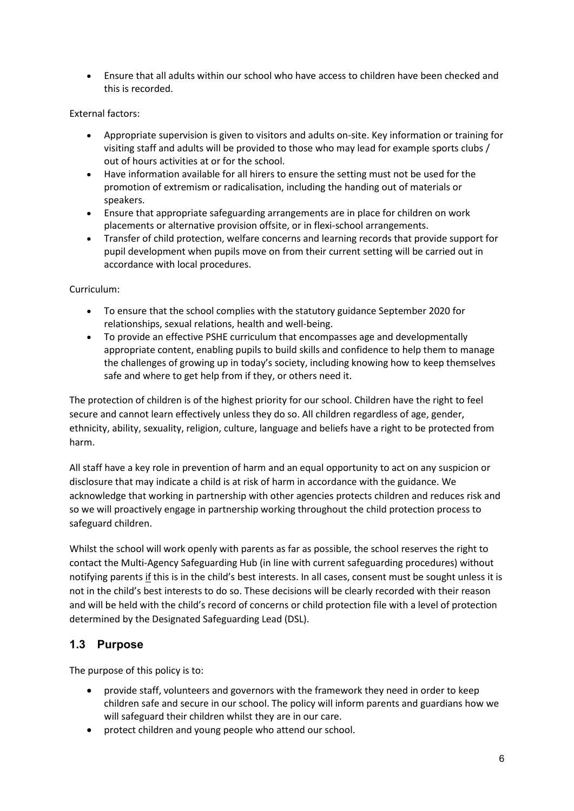• Ensure that all adults within our school who have access to children have been checked and this is recorded.

#### External factors:

- Appropriate supervision is given to visitors and adults on-site. Key information or training for visiting staff and adults will be provided to those who may lead for example sports clubs / out of hours activities at or for the school.
- Have information available for all hirers to ensure the setting must not be used for the promotion of extremism or radicalisation, including the handing out of materials or speakers.
- Ensure that appropriate safeguarding arrangements are in place for children on work placements or alternative provision offsite, or in flexi-school arrangements.
- Transfer of child protection, welfare concerns and learning records that provide support for pupil development when pupils move on from their current setting will be carried out in accordance with local procedures.

#### Curriculum:

- To ensure that the school complies with the statutory guidance September 2020 for relationships, sexual relations, health and well-being.
- To provide an effective PSHE curriculum that encompasses age and developmentally appropriate content, enabling pupils to build skills and confidence to help them to manage the challenges of growing up in today's society, including knowing how to keep themselves safe and where to get help from if they, or others need it.

The protection of children is of the highest priority for our school. Children have the right to feel secure and cannot learn effectively unless they do so. All children regardless of age, gender, ethnicity, ability, sexuality, religion, culture, language and beliefs have a right to be protected from harm.

All staff have a key role in prevention of harm and an equal opportunity to act on any suspicion or disclosure that may indicate a child is at risk of harm in accordance with the guidance. We acknowledge that working in partnership with other agencies protects children and reduces risk and so we will proactively engage in partnership working throughout the child protection process to safeguard children.

Whilst the school will work openly with parents as far as possible, the school reserves the right to contact the Multi-Agency Safeguarding Hub (in line with current safeguarding procedures) without notifying parents if this is in the child's best interests. In all cases, consent must be sought unless it is not in the child's best interests to do so. These decisions will be clearly recorded with their reason and will be held with the child's record of concerns or child protection file with a level of protection determined by the Designated Safeguarding Lead (DSL).

#### **1.3 Purpose**

The purpose of this policy is to:

- provide staff, volunteers and governors with the framework they need in order to keep children safe and secure in our school. The policy will inform parents and guardians how we will safeguard their children whilst they are in our care.
- protect children and young people who attend our school.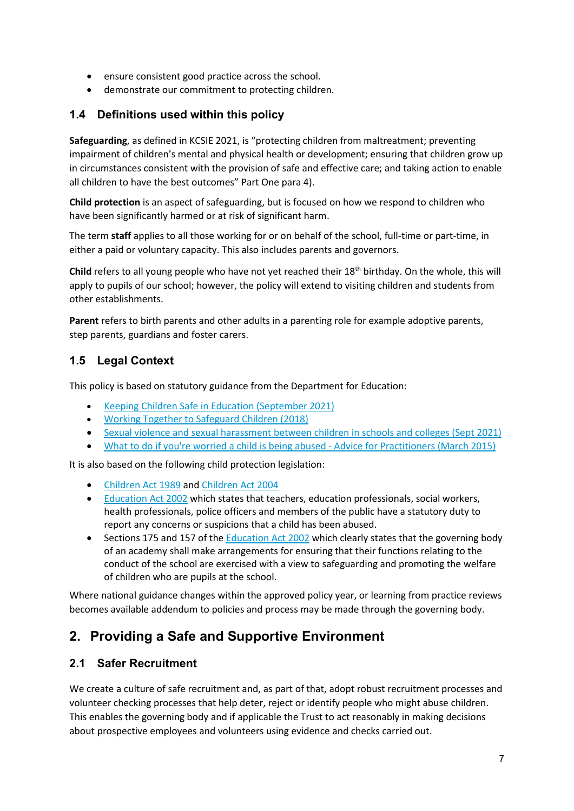- ensure consistent good practice across the school.
- demonstrate our commitment to protecting children.

#### **1.4 Definitions used within this policy**

**Safeguarding**, as defined in KCSIE 2021, is "protecting children from maltreatment; preventing impairment of children's mental and physical health or development; ensuring that children grow up in circumstances consistent with the provision of safe and effective care; and taking action to enable all children to have the best outcomes" Part One para 4).

**Child protection** is an aspect of safeguarding, but is focused on how we respond to children who have been significantly harmed or at risk of significant harm.

The term **staff** applies to all those working for or on behalf of the school, full-time or part-time, in either a paid or voluntary capacity. This also includes parents and governors.

**Child** refers to all young people who have not yet reached their 18th birthday. On the whole, this will apply to pupils of our school; however, the policy will extend to visiting children and students from other establishments.

**Parent** refers to birth parents and other adults in a parenting role for example adoptive parents, step parents, guardians and foster carers.

#### **1.5 Legal Context**

This policy is based on statutory guidance from the Department for Education:

- [Keeping Children Safe in Education \(September 2021\)](https://assets.publishing.service.gov.uk/government/uploads/system/uploads/attachment_data/file/1007260/Keeping_children_safe_in_education_2021.pdf)
- [Working Together to Safeguard Children \(2018\)](https://www.gov.uk/government/publications/working-together-to-safeguard-children--2)
- [Sexual violence and sexual harassment between children in schools and colleges \(Sept 2021\)](https://assets.publishing.service.gov.uk/government/uploads/system/uploads/attachment_data/file/999239/SVSH_2021.pdf)
- [What to do if you're worried a child is being abused -](https://assets.publishing.service.gov.uk/government/uploads/system/uploads/attachment_data/file/419604/What_to_do_if_you_re_worried_a_child_is_being_abused.pdf) Advice for Practitioners (March 2015)

It is also based on the following child protection legislation:

- [Children Act 1989](https://www.legislation.gov.uk/ukpga/1989/41/contents) and [Children Act 2004](https://www.legislation.gov.uk/ukpga/2004/31/contents)
- [Education Act 2002](https://www.legislation.gov.uk/ukpga/2002/32/contents) which states that teachers, education professionals, social workers, health professionals, police officers and members of the public have a statutory duty to report any concerns or suspicions that a child has been abused.
- Sections 175 and 157 of the **Education Act 2002** which clearly states that the governing body of an academy shall make arrangements for ensuring that their functions relating to the conduct of the school are exercised with a view to safeguarding and promoting the welfare of children who are pupils at the school.

Where national guidance changes within the approved policy year, or learning from practice reviews becomes available addendum to policies and process may be made through the governing body.

# **2. Providing a Safe and Supportive Environment**

#### **2.1 Safer Recruitment**

We create a culture of safe recruitment and, as part of that, adopt robust recruitment processes and volunteer checking processes that help deter, reject or identify people who might abuse children. This enables the governing body and if applicable the Trust to act reasonably in making decisions about prospective employees and volunteers using evidence and checks carried out.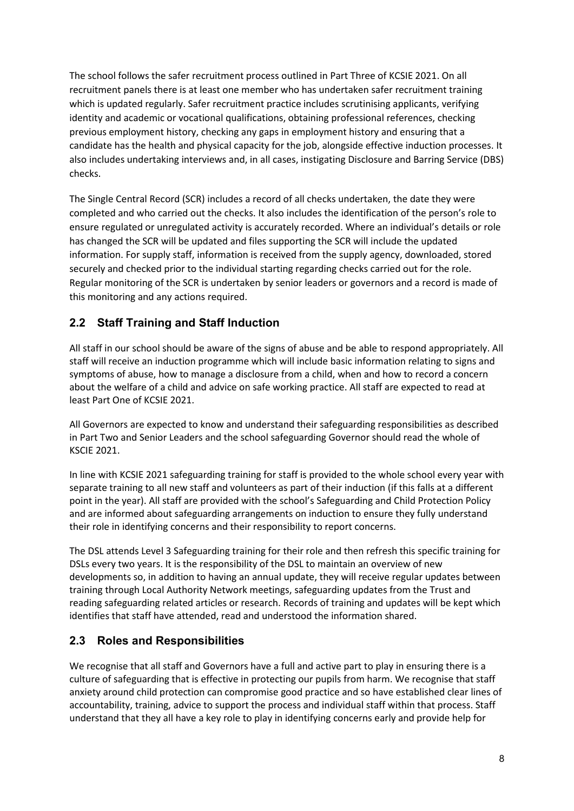The school follows the safer recruitment process outlined in Part Three of KCSIE 2021. On all recruitment panels there is at least one member who has undertaken safer recruitment training which is updated regularly. Safer recruitment practice includes scrutinising applicants, verifying identity and academic or vocational qualifications, obtaining professional references, checking previous employment history, checking any gaps in employment history and ensuring that a candidate has the health and physical capacity for the job, alongside effective induction processes. It also includes undertaking interviews and, in all cases, instigating Disclosure and Barring Service (DBS) checks.

The Single Central Record (SCR) includes a record of all checks undertaken, the date they were completed and who carried out the checks. It also includes the identification of the person's role to ensure regulated or unregulated activity is accurately recorded. Where an individual's details or role has changed the SCR will be updated and files supporting the SCR will include the updated information. For supply staff, information is received from the supply agency, downloaded, stored securely and checked prior to the individual starting regarding checks carried out for the role. Regular monitoring of the SCR is undertaken by senior leaders or governors and a record is made of this monitoring and any actions required.

#### **2.2 Staff Training and Staff Induction**

All staff in our school should be aware of the signs of abuse and be able to respond appropriately. All staff will receive an induction programme which will include basic information relating to signs and symptoms of abuse, how to manage a disclosure from a child, when and how to record a concern about the welfare of a child and advice on safe working practice. All staff are expected to read at least Part One of KCSIE 2021.

All Governors are expected to know and understand their safeguarding responsibilities as described in Part Two and Senior Leaders and the school safeguarding Governor should read the whole of KSCIE 2021.

In line with KCSIE 2021 safeguarding training for staff is provided to the whole school every year with separate training to all new staff and volunteers as part of their induction (if this falls at a different point in the year). All staff are provided with the school's Safeguarding and Child Protection Policy and are informed about safeguarding arrangements on induction to ensure they fully understand their role in identifying concerns and their responsibility to report concerns.

The DSL attends Level 3 Safeguarding training for their role and then refresh this specific training for DSLs every two years. It is the responsibility of the DSL to maintain an overview of new developments so, in addition to having an annual update, they will receive regular updates between training through Local Authority Network meetings, safeguarding updates from the Trust and reading safeguarding related articles or research. Records of training and updates will be kept which identifies that staff have attended, read and understood the information shared.

#### **2.3 Roles and Responsibilities**

We recognise that all staff and Governors have a full and active part to play in ensuring there is a culture of safeguarding that is effective in protecting our pupils from harm. We recognise that staff anxiety around child protection can compromise good practice and so have established clear lines of accountability, training, advice to support the process and individual staff within that process. Staff understand that they all have a key role to play in identifying concerns early and provide help for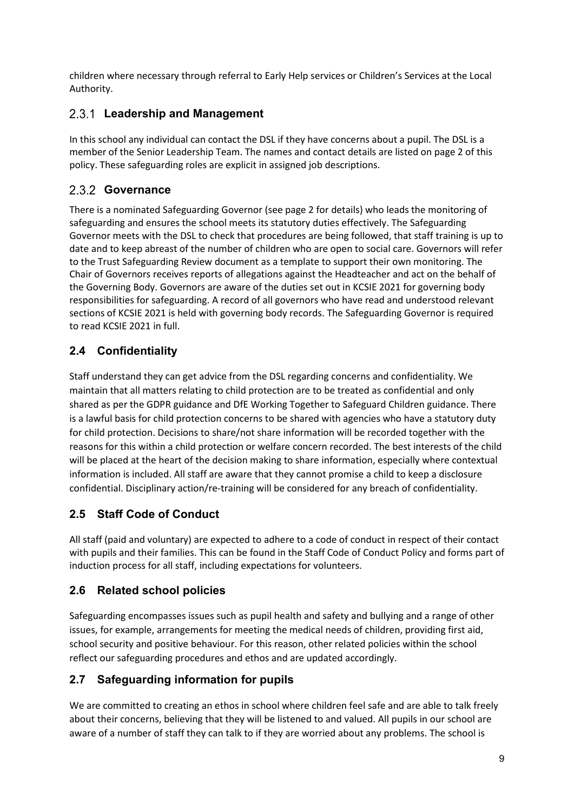children where necessary through referral to Early Help services or Children's Services at the Local Authority.

#### **Leadership and Management**

In this school any individual can contact the DSL if they have concerns about a pupil. The DSL is a member of the Senior Leadership Team. The names and contact details are listed on page 2 of this policy. These safeguarding roles are explicit in assigned job descriptions.

### **Governance**

There is a nominated Safeguarding Governor (see page 2 for details) who leads the monitoring of safeguarding and ensures the school meets its statutory duties effectively. The Safeguarding Governor meets with the DSL to check that procedures are being followed, that staff training is up to date and to keep abreast of the number of children who are open to social care. Governors will refer to the Trust Safeguarding Review document as a template to support their own monitoring. The Chair of Governors receives reports of allegations against the Headteacher and act on the behalf of the Governing Body. Governors are aware of the duties set out in KCSIE 2021 for governing body responsibilities for safeguarding. A record of all governors who have read and understood relevant sections of KCSIE 2021 is held with governing body records. The Safeguarding Governor is required to read KCSIE 2021 in full.

## **2.4 Confidentiality**

Staff understand they can get advice from the DSL regarding concerns and confidentiality. We maintain that all matters relating to child protection are to be treated as confidential and only shared as per the GDPR guidance and DfE Working Together to Safeguard Children guidance. There is a lawful basis for child protection concerns to be shared with agencies who have a statutory duty for child protection. Decisions to share/not share information will be recorded together with the reasons for this within a child protection or welfare concern recorded. The best interests of the child will be placed at the heart of the decision making to share information, especially where contextual information is included. All staff are aware that they cannot promise a child to keep a disclosure confidential. Disciplinary action/re-training will be considered for any breach of confidentiality.

### **2.5 Staff Code of Conduct**

All staff (paid and voluntary) are expected to adhere to a code of conduct in respect of their contact with pupils and their families. This can be found in the Staff Code of Conduct Policy and forms part of induction process for all staff, including expectations for volunteers.

### **2.6 Related school policies**

Safeguarding encompasses issues such as pupil health and safety and bullying and a range of other issues, for example, arrangements for meeting the medical needs of children, providing first aid, school security and positive behaviour. For this reason, other related policies within the school reflect our safeguarding procedures and ethos and are updated accordingly.

### **2.7 Safeguarding information for pupils**

We are committed to creating an ethos in school where children feel safe and are able to talk freely about their concerns, believing that they will be listened to and valued. All pupils in our school are aware of a number of staff they can talk to if they are worried about any problems. The school is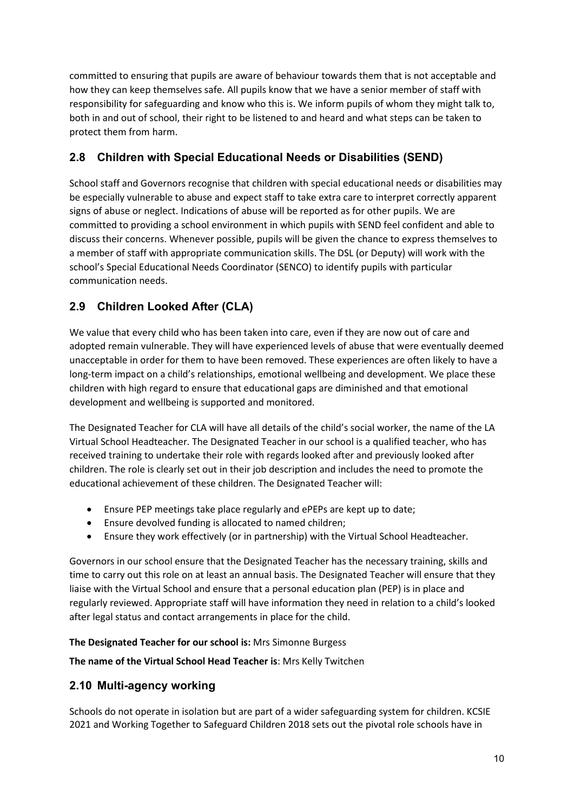committed to ensuring that pupils are aware of behaviour towards them that is not acceptable and how they can keep themselves safe. All pupils know that we have a senior member of staff with responsibility for safeguarding and know who this is. We inform pupils of whom they might talk to, both in and out of school, their right to be listened to and heard and what steps can be taken to protect them from harm.

#### **2.8 Children with Special Educational Needs or Disabilities (SEND)**

School staff and Governors recognise that children with special educational needs or disabilities may be especially vulnerable to abuse and expect staff to take extra care to interpret correctly apparent signs of abuse or neglect. Indications of abuse will be reported as for other pupils. We are committed to providing a school environment in which pupils with SEND feel confident and able to discuss their concerns. Whenever possible, pupils will be given the chance to express themselves to a member of staff with appropriate communication skills. The DSL (or Deputy) will work with the school's Special Educational Needs Coordinator (SENCO) to identify pupils with particular communication needs.

#### **2.9 Children Looked After (CLA)**

We value that every child who has been taken into care, even if they are now out of care and adopted remain vulnerable. They will have experienced levels of abuse that were eventually deemed unacceptable in order for them to have been removed. These experiences are often likely to have a long-term impact on a child's relationships, emotional wellbeing and development. We place these children with high regard to ensure that educational gaps are diminished and that emotional development and wellbeing is supported and monitored.

The Designated Teacher for CLA will have all details of the child's social worker, the name of the LA Virtual School Headteacher. The Designated Teacher in our school is a qualified teacher, who has received training to undertake their role with regards looked after and previously looked after children. The role is clearly set out in their job description and includes the need to promote the educational achievement of these children. The Designated Teacher will:

- Ensure PEP meetings take place regularly and ePEPs are kept up to date;
- Ensure devolved funding is allocated to named children;
- Ensure they work effectively (or in partnership) with the Virtual School Headteacher.

Governors in our school ensure that the Designated Teacher has the necessary training, skills and time to carry out this role on at least an annual basis. The Designated Teacher will ensure that they liaise with the Virtual School and ensure that a personal education plan (PEP) is in place and regularly reviewed. Appropriate staff will have information they need in relation to a child's looked after legal status and contact arrangements in place for the child.

#### **The Designated Teacher for our school is:** Mrs Simonne Burgess

**The name of the Virtual School Head Teacher is**: Mrs Kelly Twitchen

#### **2.10 Multi-agency working**

Schools do not operate in isolation but are part of a wider safeguarding system for children. KCSIE 2021 and Working Together to Safeguard Children 2018 sets out the pivotal role schools have in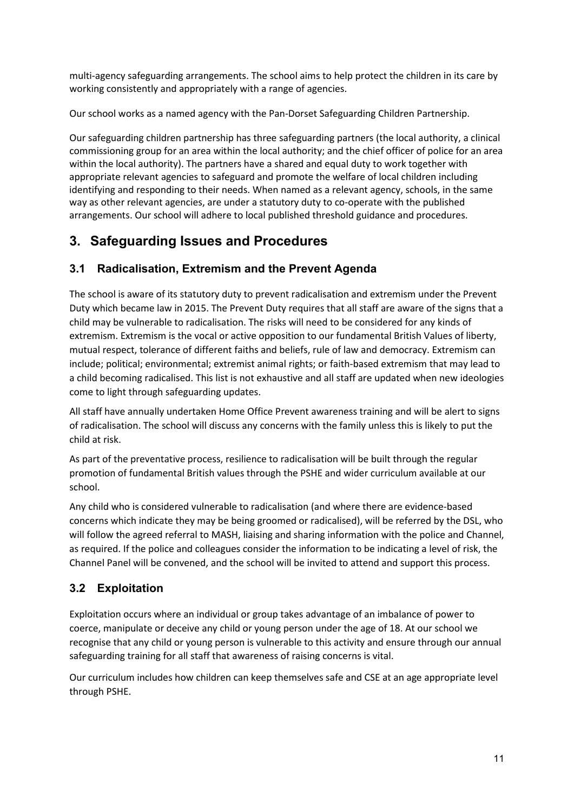multi-agency safeguarding arrangements. The school aims to help protect the children in its care by working consistently and appropriately with a range of agencies.

Our school works as a named agency with the Pan-Dorset Safeguarding Children Partnership.

Our safeguarding children partnership has three safeguarding partners (the local authority, a clinical commissioning group for an area within the local authority; and the chief officer of police for an area within the local authority). The partners have a shared and equal duty to work together with appropriate relevant agencies to safeguard and promote the welfare of local children including identifying and responding to their needs. When named as a relevant agency, schools, in the same way as other relevant agencies, are under a statutory duty to co-operate with the published arrangements. Our school will adhere to local published threshold guidance and procedures.

# **3. Safeguarding Issues and Procedures**

#### **3.1 Radicalisation, Extremism and the Prevent Agenda**

The school is aware of its statutory duty to prevent radicalisation and extremism under the Prevent Duty which became law in 2015. The Prevent Duty requires that all staff are aware of the signs that a child may be vulnerable to radicalisation. The risks will need to be considered for any kinds of extremism. Extremism is the vocal or active opposition to our fundamental British Values of liberty, mutual respect, tolerance of different faiths and beliefs, rule of law and democracy. Extremism can include; political; environmental; extremist animal rights; or faith-based extremism that may lead to a child becoming radicalised. This list is not exhaustive and all staff are updated when new ideologies come to light through safeguarding updates.

All staff have annually undertaken Home Office Prevent awareness training and will be alert to signs of radicalisation. The school will discuss any concerns with the family unless this is likely to put the child at risk.

As part of the preventative process, resilience to radicalisation will be built through the regular promotion of fundamental British values through the PSHE and wider curriculum available at our school.

Any child who is considered vulnerable to radicalisation (and where there are evidence-based concerns which indicate they may be being groomed or radicalised), will be referred by the DSL, who will follow the agreed referral to MASH, liaising and sharing information with the police and Channel, as required. If the police and colleagues consider the information to be indicating a level of risk, the Channel Panel will be convened, and the school will be invited to attend and support this process.

#### **3.2 Exploitation**

Exploitation occurs where an individual or group takes advantage of an imbalance of power to coerce, manipulate or deceive any child or young person under the age of 18. At our school we recognise that any child or young person is vulnerable to this activity and ensure through our annual safeguarding training for all staff that awareness of raising concerns is vital.

Our curriculum includes how children can keep themselves safe and CSE at an age appropriate level through PSHE.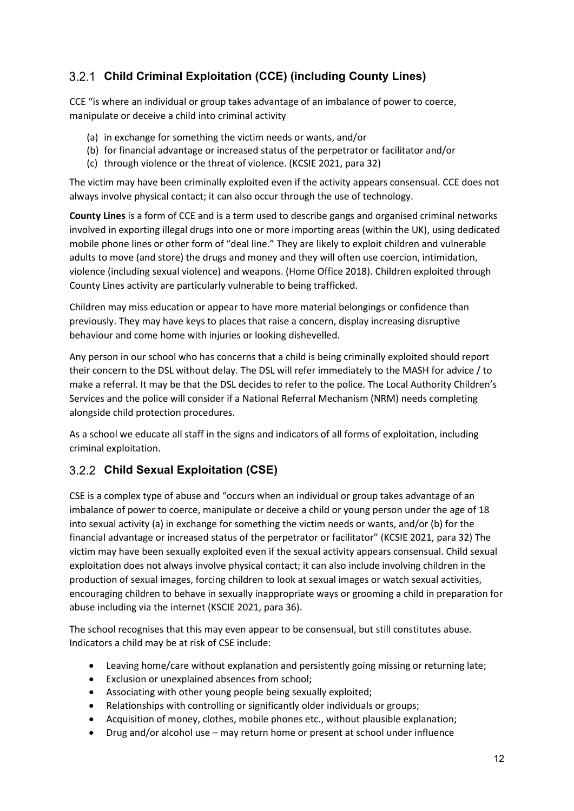### **Child Criminal Exploitation (CCE) (including County Lines)**

CCE "is where an individual or group takes advantage of an imbalance of power to coerce, manipulate or deceive a child into criminal activity

- (a) in exchange for something the victim needs or wants, and/or
- (b) for financial advantage or increased status of the perpetrator or facilitator and/or
- (c) through violence or the threat of violence. (KCSIE 2021, para 32)

The victim may have been criminally exploited even if the activity appears consensual. CCE does not always involve physical contact; it can also occur through the use of technology.

**County Lines** is a form of CCE and is a term used to describe gangs and organised criminal networks involved in exporting illegal drugs into one or more importing areas (within the UK), using dedicated mobile phone lines or other form of "deal line." They are likely to exploit children and vulnerable adults to move (and store) the drugs and money and they will often use coercion, intimidation, violence (including sexual violence) and weapons. (Home Office 2018). Children exploited through County Lines activity are particularly vulnerable to being trafficked.

Children may miss education or appear to have more material belongings or confidence than previously. They may have keys to places that raise a concern, display increasing disruptive behaviour and come home with injuries or looking dishevelled.

Any person in our school who has concerns that a child is being criminally exploited should report their concern to the DSL without delay. The DSL will refer immediately to the MASH for advice / to make a referral. It may be that the DSL decides to refer to the police. The Local Authority Children's Services and the police will consider if a National Referral Mechanism (NRM) needs completing alongside child protection procedures.

As a school we educate all staff in the signs and indicators of all forms of exploitation, including criminal exploitation.

#### **Child Sexual Exploitation (CSE)**

CSE is a complex type of abuse and "occurs when an individual or group takes advantage of an imbalance of power to coerce, manipulate or deceive a child or young person under the age of 18 into sexual activity (a) in exchange for something the victim needs or wants, and/or (b) for the financial advantage or increased status of the perpetrator or facilitator" (KCSIE 2021, para 32) The victim may have been sexually exploited even if the sexual activity appears consensual. Child sexual exploitation does not always involve physical contact; it can also include involving children in the production of sexual images, forcing children to look at sexual images or watch sexual activities, encouraging children to behave in sexually inappropriate ways or grooming a child in preparation for abuse including via the internet (KSCIE 2021, para 36).

The school recognises that this may even appear to be consensual, but still constitutes abuse. Indicators a child may be at risk of CSE include:

- Leaving home/care without explanation and persistently going missing or returning late;
- Exclusion or unexplained absences from school;
- Associating with other young people being sexually exploited;
- Relationships with controlling or significantly older individuals or groups;
- Acquisition of money, clothes, mobile phones etc., without plausible explanation;
- Drug and/or alcohol use may return home or present at school under influence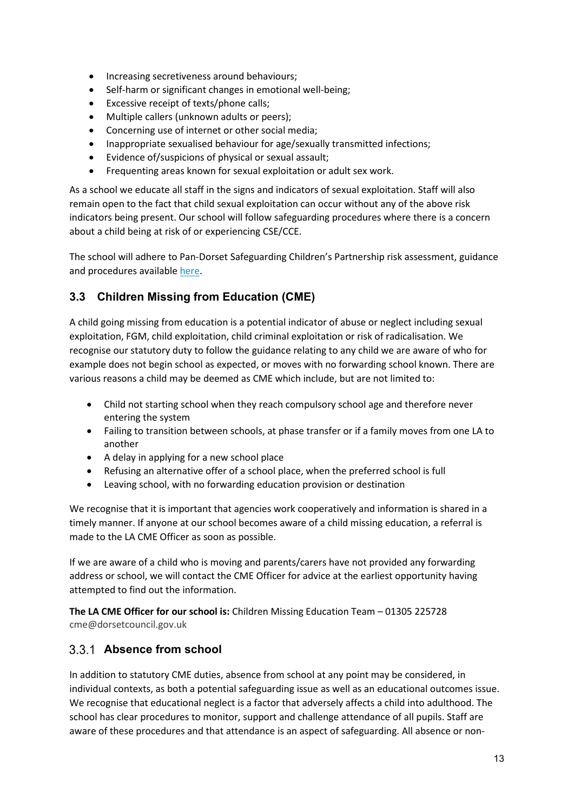- Increasing secretiveness around behaviours;
- Self-harm or significant changes in emotional well-being;
- Excessive receipt of texts/phone calls;
- Multiple callers (unknown adults or peers);
- Concerning use of internet or other social media;
- Inappropriate sexualised behaviour for age/sexually transmitted infections;
- Evidence of/suspicions of physical or sexual assault;
- Frequenting areas known for sexual exploitation or adult sex work.

As a school we educate all staff in the signs and indicators of sexual exploitation. Staff will also remain open to the fact that child sexual exploitation can occur without any of the above risk indicators being present. Our school will follow safeguarding procedures where there is a concern about a child being at risk of or experiencing CSE/CCE.

The school will adhere to Pan-Dorset Safeguarding Children's Partnership risk assessment, guidance and procedures availabl[e here.](https://pandorsetscb.proceduresonline.com/p_ch_sexual_exploit.html?zoom_highlight=child+sexual#1.-definition)

#### **3.3 Children Missing from Education (CME)**

A child going missing from education is a potential indicator of abuse or neglect including sexual exploitation, FGM, child exploitation, child criminal exploitation or risk of radicalisation. We recognise our statutory duty to follow the guidance relating to any child we are aware of who for example does not begin school as expected, or moves with no forwarding school known. There are various reasons a child may be deemed as CME which include, but are not limited to:

- Child not starting school when they reach compulsory school age and therefore never entering the system
- Failing to transition between schools, at phase transfer or if a family moves from one LA to another
- A delay in applying for a new school place
- Refusing an alternative offer of a school place, when the preferred school is full
- Leaving school, with no forwarding education provision or destination

We recognise that it is important that agencies work cooperatively and information is shared in a timely manner. If anyone at our school becomes aware of a child missing education, a referral is made to the LA CME Officer as soon as possible.

If we are aware of a child who is moving and parents/carers have not provided any forwarding address or school, we will contact the CME Officer for advice at the earliest opportunity having attempted to find out the information.

**The LA CME Officer for our school is:** Children Missing Education Team – 01305 225728 cme@dorsetcouncil.gov.uk

#### **Absence from school**

In addition to statutory CME duties, absence from school at any point may be considered, in individual contexts, as both a potential safeguarding issue as well as an educational outcomes issue. We recognise that educational neglect is a factor that adversely affects a child into adulthood. The school has clear procedures to monitor, support and challenge attendance of all pupils. Staff are aware of these procedures and that attendance is an aspect of safeguarding. All absence or non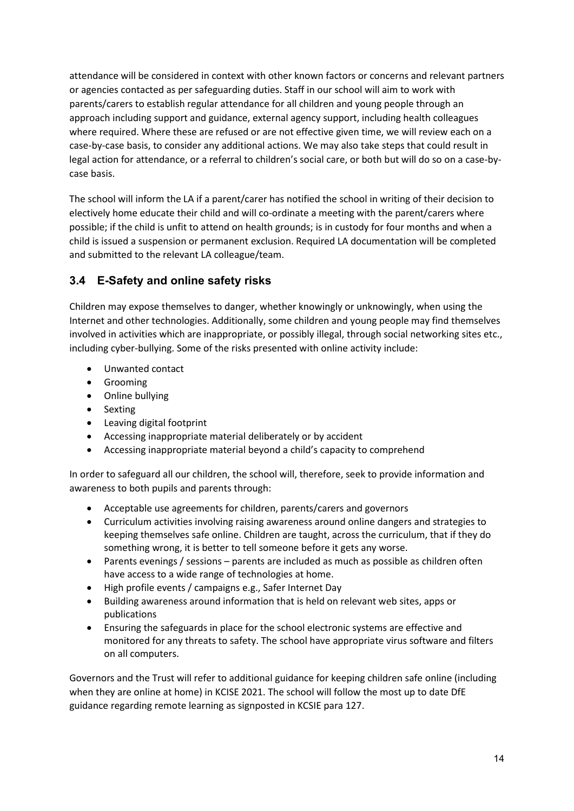attendance will be considered in context with other known factors or concerns and relevant partners or agencies contacted as per safeguarding duties. Staff in our school will aim to work with parents/carers to establish regular attendance for all children and young people through an approach including support and guidance, external agency support, including health colleagues where required. Where these are refused or are not effective given time, we will review each on a case-by-case basis, to consider any additional actions. We may also take steps that could result in legal action for attendance, or a referral to children's social care, or both but will do so on a case-bycase basis.

The school will inform the LA if a parent/carer has notified the school in writing of their decision to electively home educate their child and will co-ordinate a meeting with the parent/carers where possible; if the child is unfit to attend on health grounds; is in custody for four months and when a child is issued a suspension or permanent exclusion. Required LA documentation will be completed and submitted to the relevant LA colleague/team.

#### **3.4 E-Safety and online safety risks**

Children may expose themselves to danger, whether knowingly or unknowingly, when using the Internet and other technologies. Additionally, some children and young people may find themselves involved in activities which are inappropriate, or possibly illegal, through social networking sites etc., including cyber-bullying. Some of the risks presented with online activity include:

- Unwanted contact
- Grooming
- Online bullying
- Sexting
- Leaving digital footprint
- Accessing inappropriate material deliberately or by accident
- Accessing inappropriate material beyond a child's capacity to comprehend

In order to safeguard all our children, the school will, therefore, seek to provide information and awareness to both pupils and parents through:

- Acceptable use agreements for children, parents/carers and governors
- Curriculum activities involving raising awareness around online dangers and strategies to keeping themselves safe online. Children are taught, across the curriculum, that if they do something wrong, it is better to tell someone before it gets any worse.
- Parents evenings / sessions parents are included as much as possible as children often have access to a wide range of technologies at home.
- High profile events / campaigns e.g., Safer Internet Day
- Building awareness around information that is held on relevant web sites, apps or publications
- Ensuring the safeguards in place for the school electronic systems are effective and monitored for any threats to safety. The school have appropriate virus software and filters on all computers.

Governors and the Trust will refer to additional guidance for keeping children safe online (including when they are online at home) in KCISE 2021. The school will follow the most up to date DfE guidance regarding remote learning as signposted in KCSIE para 127.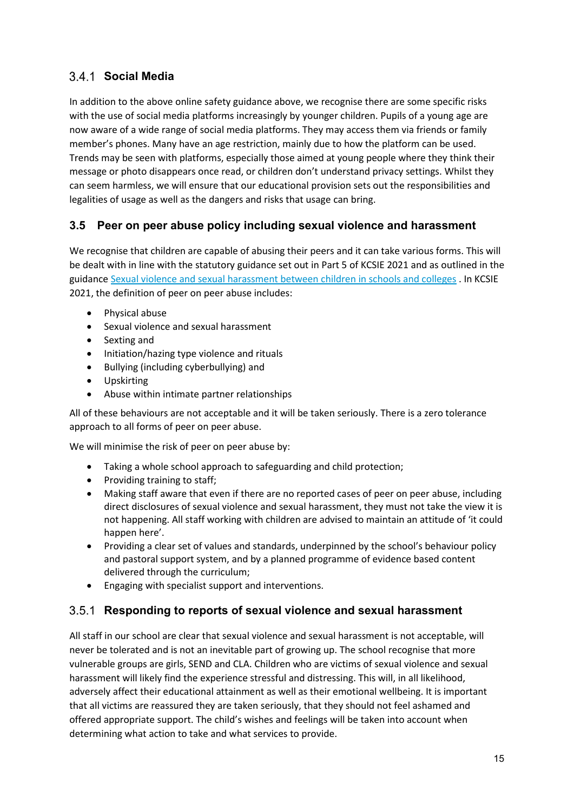#### **Social Media**

In addition to the above online safety guidance above, we recognise there are some specific risks with the use of social media platforms increasingly by younger children. Pupils of a young age are now aware of a wide range of social media platforms. They may access them via friends or family member's phones. Many have an age restriction, mainly due to how the platform can be used. Trends may be seen with platforms, especially those aimed at young people where they think their message or photo disappears once read, or children don't understand privacy settings. Whilst they can seem harmless, we will ensure that our educational provision sets out the responsibilities and legalities of usage as well as the dangers and risks that usage can bring.

#### **3.5 Peer on peer abuse policy including sexual violence and harassment**

We recognise that children are capable of abusing their peers and it can take various forms. This will be dealt with in line with the statutory guidance set out in Part 5 of KCSIE 2021 and as outlined in the guidance Sexual violence and sexual harassment [between children in schools and colleges](https://www.gov.uk/government/publications/sexual-violence-and-sexual-harassment-between-children-in-schools-and-colleges) . In KCSIE 2021, the definition of peer on peer abuse includes:

- Physical abuse
- Sexual violence and sexual harassment
- Sexting and
- Initiation/hazing type violence and rituals
- Bullying (including cyberbullying) and
- Upskirting
- Abuse within intimate partner relationships

All of these behaviours are not acceptable and it will be taken seriously. There is a zero tolerance approach to all forms of peer on peer abuse.

We will minimise the risk of peer on peer abuse by:

- Taking a whole school approach to safeguarding and child protection;
- Providing training to staff;
- Making staff aware that even if there are no reported cases of peer on peer abuse, including direct disclosures of sexual violence and sexual harassment, they must not take the view it is not happening. All staff working with children are advised to maintain an attitude of 'it could happen here'.
- Providing a clear set of values and standards, underpinned by the school's behaviour policy and pastoral support system, and by a planned programme of evidence based content delivered through the curriculum;
- Engaging with specialist support and interventions.

#### **Responding to reports of sexual violence and sexual harassment**

All staff in our school are clear that sexual violence and sexual harassment is not acceptable, will never be tolerated and is not an inevitable part of growing up. The school recognise that more vulnerable groups are girls, SEND and CLA. Children who are victims of sexual violence and sexual harassment will likely find the experience stressful and distressing. This will, in all likelihood, adversely affect their educational attainment as well as their emotional wellbeing. It is important that all victims are reassured they are taken seriously, that they should not feel ashamed and offered appropriate support. The child's wishes and feelings will be taken into account when determining what action to take and what services to provide.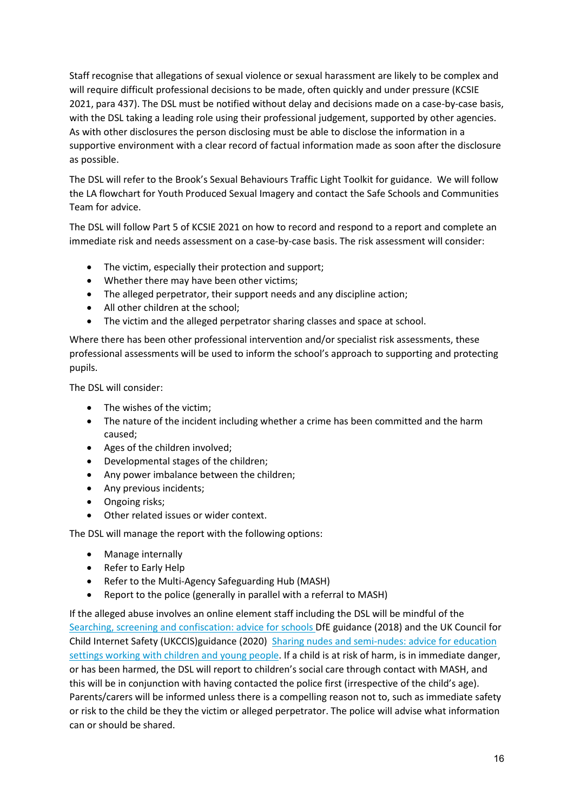Staff recognise that allegations of sexual violence or sexual harassment are likely to be complex and will require difficult professional decisions to be made, often quickly and under pressure (KCSIE 2021, para 437). The DSL must be notified without delay and decisions made on a case-by-case basis, with the DSL taking a leading role using their professional judgement, supported by other agencies. As with other disclosures the person disclosing must be able to disclose the information in a supportive environment with a clear record of factual information made as soon after the disclosure as possible.

The DSL will refer to the Brook's Sexual Behaviours Traffic Light Toolkit for guidance. We will follow the LA flowchart for Youth Produced Sexual Imagery and contact the Safe Schools and Communities Team for advice.

The DSL will follow Part 5 of KCSIE 2021 on how to record and respond to a report and complete an immediate risk and needs assessment on a case-by-case basis. The risk assessment will consider:

- The victim, especially their protection and support;
- Whether there may have been other victims;
- The alleged perpetrator, their support needs and any discipline action;
- All other children at the school;
- The victim and the alleged perpetrator sharing classes and space at school.

Where there has been other professional intervention and/or specialist risk assessments, these professional assessments will be used to inform the school's approach to supporting and protecting pupils.

The DSL will consider:

- The wishes of the victim;
- The nature of the incident including whether a crime has been committed and the harm caused;
- Ages of the children involved;
- Developmental stages of the children;
- Any power imbalance between the children;
- Any previous incidents;
- Ongoing risks;
- Other related issues or wider context.

The DSL will manage the report with the following options:

- Manage internally
- Refer to Early Help
- Refer to the Multi-Agency Safeguarding Hub (MASH)
- Report to the police (generally in parallel with a referral to MASH)

If the alleged abuse involves an online element staff including the DSL will be mindful of the [Searching, screening and confiscation: advice for schools D](https://www.gov.uk/government/publications/searching-screening-and-confiscation)fE guidance (2018) and the UK Council for Child Internet Safety (UKCCIS)guidance (2020) [Sharing nudes and semi-nudes: advice for education](hthttps://www.gov.uk/government/publications/sharing-nudes-and-semi-nudes-advice-for-education-settings-working-with-children-and-young-people/sharing-nudes-and-semi-nudes-advice-for-education-settings-working-with-children-and-young-people)  [settings working with children and young people.](hthttps://www.gov.uk/government/publications/sharing-nudes-and-semi-nudes-advice-for-education-settings-working-with-children-and-young-people/sharing-nudes-and-semi-nudes-advice-for-education-settings-working-with-children-and-young-people) If a child is at risk of harm, is in immediate danger, or has been harmed, the DSL will report to children's social care through contact with MASH, and this will be in conjunction with having contacted the police first (irrespective of the child's age). Parents/carers will be informed unless there is a compelling reason not to, such as immediate safety or risk to the child be they the victim or alleged perpetrator. The police will advise what information can or should be shared.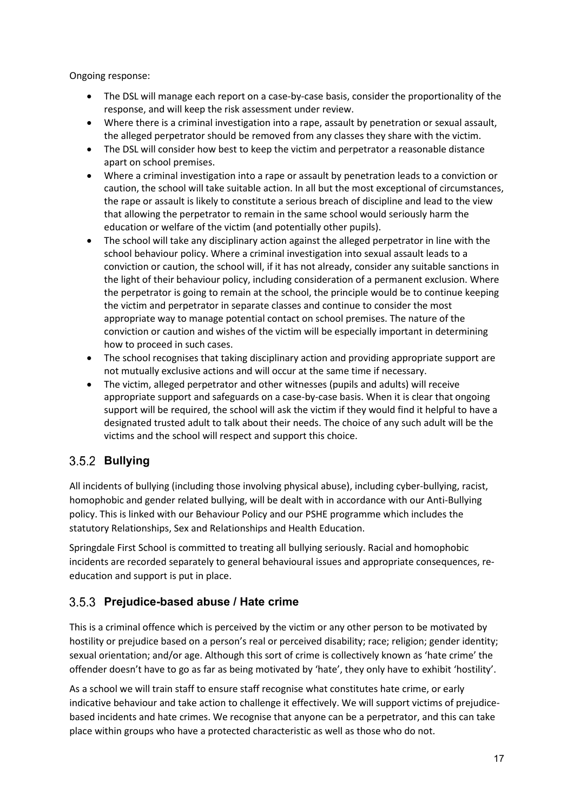Ongoing response:

- The DSL will manage each report on a case-by-case basis, consider the proportionality of the response, and will keep the risk assessment under review.
- Where there is a criminal investigation into a rape, assault by penetration or sexual assault, the alleged perpetrator should be removed from any classes they share with the victim.
- The DSL will consider how best to keep the victim and perpetrator a reasonable distance apart on school premises.
- Where a criminal investigation into a rape or assault by penetration leads to a conviction or caution, the school will take suitable action. In all but the most exceptional of circumstances, the rape or assault is likely to constitute a serious breach of discipline and lead to the view that allowing the perpetrator to remain in the same school would seriously harm the education or welfare of the victim (and potentially other pupils).
- The school will take any disciplinary action against the alleged perpetrator in line with the school behaviour policy. Where a criminal investigation into sexual assault leads to a conviction or caution, the school will, if it has not already, consider any suitable sanctions in the light of their behaviour policy, including consideration of a permanent exclusion. Where the perpetrator is going to remain at the school, the principle would be to continue keeping the victim and perpetrator in separate classes and continue to consider the most appropriate way to manage potential contact on school premises. The nature of the conviction or caution and wishes of the victim will be especially important in determining how to proceed in such cases.
- The school recognises that taking disciplinary action and providing appropriate support are not mutually exclusive actions and will occur at the same time if necessary.
- The victim, alleged perpetrator and other witnesses (pupils and adults) will receive appropriate support and safeguards on a case-by-case basis. When it is clear that ongoing support will be required, the school will ask the victim if they would find it helpful to have a designated trusted adult to talk about their needs. The choice of any such adult will be the victims and the school will respect and support this choice.

# **Bullying**

All incidents of bullying (including those involving physical abuse), including cyber-bullying, racist, homophobic and gender related bullying, will be dealt with in accordance with our Anti-Bullying policy. This is linked with our Behaviour Policy and our PSHE programme which includes the statutory Relationships, Sex and Relationships and Health Education.

Springdale First School is committed to treating all bullying seriously. Racial and homophobic incidents are recorded separately to general behavioural issues and appropriate consequences, reeducation and support is put in place.

#### **Prejudice-based abuse / Hate crime**

This is a criminal offence which is perceived by the victim or any other person to be motivated by hostility or prejudice based on a person's real or perceived disability; race; religion; gender identity; sexual orientation; and/or age. Although this sort of crime is collectively known as 'hate crime' the offender doesn't have to go as far as being motivated by 'hate', they only have to exhibit 'hostility'.

As a school we will train staff to ensure staff recognise what constitutes hate crime, or early indicative behaviour and take action to challenge it effectively. We will support victims of prejudicebased incidents and hate crimes. We recognise that anyone can be a perpetrator, and this can take place within groups who have a protected characteristic as well as those who do not.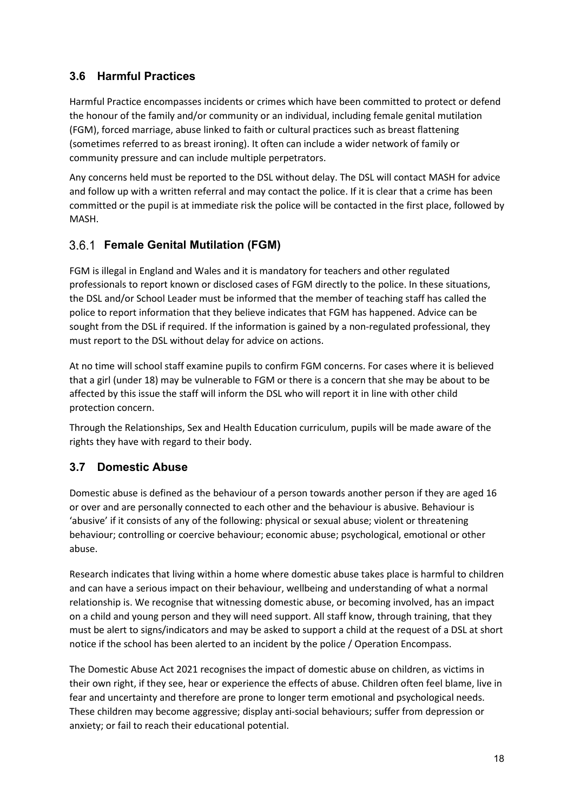#### **3.6 Harmful Practices**

Harmful Practice encompasses incidents or crimes which have been committed to protect or defend the honour of the family and/or community or an individual, including female genital mutilation (FGM), forced marriage, abuse linked to faith or cultural practices such as breast flattening (sometimes referred to as breast ironing). It often can include a wider network of family or community pressure and can include multiple perpetrators.

Any concerns held must be reported to the DSL without delay. The DSL will contact MASH for advice and follow up with a written referral and may contact the police. If it is clear that a crime has been committed or the pupil is at immediate risk the police will be contacted in the first place, followed by MASH.

#### **Female Genital Mutilation (FGM)**

FGM is illegal in England and Wales and it is mandatory for teachers and other regulated professionals to report known or disclosed cases of FGM directly to the police. In these situations, the DSL and/or School Leader must be informed that the member of teaching staff has called the police to report information that they believe indicates that FGM has happened. Advice can be sought from the DSL if required. If the information is gained by a non-regulated professional, they must report to the DSL without delay for advice on actions.

At no time will school staff examine pupils to confirm FGM concerns. For cases where it is believed that a girl (under 18) may be vulnerable to FGM or there is a concern that she may be about to be affected by this issue the staff will inform the DSL who will report it in line with other child protection concern.

Through the Relationships, Sex and Health Education curriculum, pupils will be made aware of the rights they have with regard to their body.

#### **3.7 Domestic Abuse**

Domestic abuse is defined as the behaviour of a person towards another person if they are aged 16 or over and are personally connected to each other and the behaviour is abusive. Behaviour is 'abusive' if it consists of any of the following: physical or sexual abuse; violent or threatening behaviour; controlling or coercive behaviour; economic abuse; psychological, emotional or other abuse.

Research indicates that living within a home where domestic abuse takes place is harmful to children and can have a serious impact on their behaviour, wellbeing and understanding of what a normal relationship is. We recognise that witnessing domestic abuse, or becoming involved, has an impact on a child and young person and they will need support. All staff know, through training, that they must be alert to signs/indicators and may be asked to support a child at the request of a DSL at short notice if the school has been alerted to an incident by the police / Operation Encompass.

The Domestic Abuse Act 2021 recognises the impact of domestic abuse on children, as victims in their own right, if they see, hear or experience the effects of abuse. Children often feel blame, live in fear and uncertainty and therefore are prone to longer term emotional and psychological needs. These children may become aggressive; display anti-social behaviours; suffer from depression or anxiety; or fail to reach their educational potential.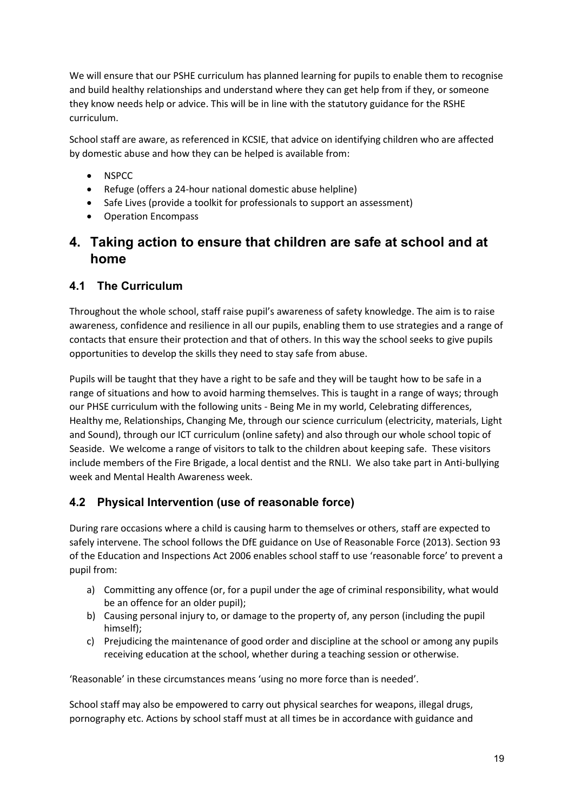We will ensure that our PSHE curriculum has planned learning for pupils to enable them to recognise and build healthy relationships and understand where they can get help from if they, or someone they know needs help or advice. This will be in line with the statutory guidance for the RSHE curriculum.

School staff are aware, as referenced in KCSIE, that advice on identifying children who are affected by domestic abuse and how they can be helped is available from:

- NSPCC
- Refuge (offers a 24-hour national domestic abuse helpline)
- Safe Lives (provide a toolkit for professionals to support an assessment)
- Operation Encompass

### **4. Taking action to ensure that children are safe at school and at home**

#### **4.1 The Curriculum**

Throughout the whole school, staff raise pupil's awareness of safety knowledge. The aim is to raise awareness, confidence and resilience in all our pupils, enabling them to use strategies and a range of contacts that ensure their protection and that of others. In this way the school seeks to give pupils opportunities to develop the skills they need to stay safe from abuse.

Pupils will be taught that they have a right to be safe and they will be taught how to be safe in a range of situations and how to avoid harming themselves. This is taught in a range of ways; through our PHSE curriculum with the following units - Being Me in my world, Celebrating differences, Healthy me, Relationships, Changing Me, through our science curriculum (electricity, materials, Light and Sound), through our ICT curriculum (online safety) and also through our whole school topic of Seaside. We welcome a range of visitors to talk to the children about keeping safe. These visitors include members of the Fire Brigade, a local dentist and the RNLI. We also take part in Anti-bullying week and Mental Health Awareness week.

#### **4.2 Physical Intervention (use of reasonable force)**

During rare occasions where a child is causing harm to themselves or others, staff are expected to safely intervene. The school follows the DfE guidance on Use of Reasonable Force (2013). Section 93 of the Education and Inspections Act 2006 enables school staff to use 'reasonable force' to prevent a pupil from:

- a) Committing any offence (or, for a pupil under the age of criminal responsibility, what would be an offence for an older pupil);
- b) Causing personal injury to, or damage to the property of, any person (including the pupil himself);
- c) Prejudicing the maintenance of good order and discipline at the school or among any pupils receiving education at the school, whether during a teaching session or otherwise.

'Reasonable' in these circumstances means 'using no more force than is needed'.

School staff may also be empowered to carry out physical searches for weapons, illegal drugs, pornography etc. Actions by school staff must at all times be in accordance with guidance and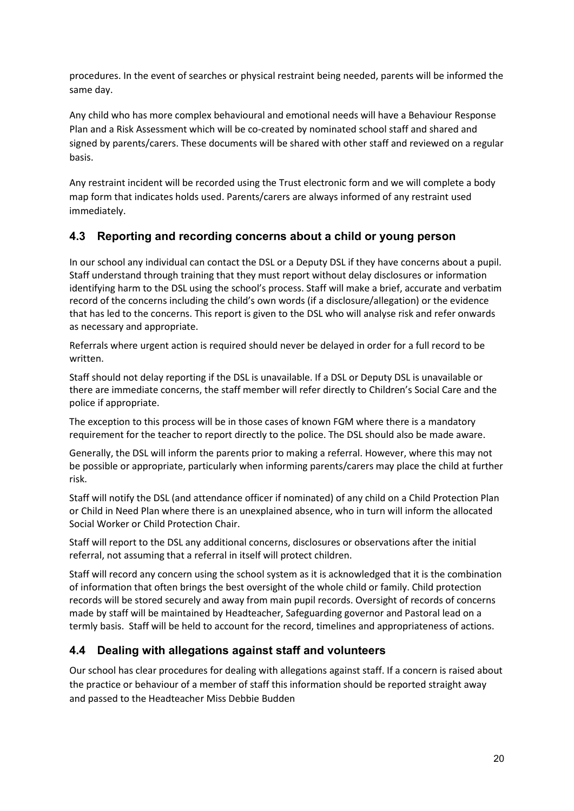procedures. In the event of searches or physical restraint being needed, parents will be informed the same day.

Any child who has more complex behavioural and emotional needs will have a Behaviour Response Plan and a Risk Assessment which will be co-created by nominated school staff and shared and signed by parents/carers. These documents will be shared with other staff and reviewed on a regular basis.

Any restraint incident will be recorded using the Trust electronic form and we will complete a body map form that indicates holds used. Parents/carers are always informed of any restraint used immediately.

#### **4.3 Reporting and recording concerns about a child or young person**

In our school any individual can contact the DSL or a Deputy DSL if they have concerns about a pupil. Staff understand through training that they must report without delay disclosures or information identifying harm to the DSL using the school's process. Staff will make a brief, accurate and verbatim record of the concerns including the child's own words (if a disclosure/allegation) or the evidence that has led to the concerns. This report is given to the DSL who will analyse risk and refer onwards as necessary and appropriate.

Referrals where urgent action is required should never be delayed in order for a full record to be written.

Staff should not delay reporting if the DSL is unavailable. If a DSL or Deputy DSL is unavailable or there are immediate concerns, the staff member will refer directly to Children's Social Care and the police if appropriate.

The exception to this process will be in those cases of known FGM where there is a mandatory requirement for the teacher to report directly to the police. The DSL should also be made aware.

Generally, the DSL will inform the parents prior to making a referral. However, where this may not be possible or appropriate, particularly when informing parents/carers may place the child at further risk.

Staff will notify the DSL (and attendance officer if nominated) of any child on a Child Protection Plan or Child in Need Plan where there is an unexplained absence, who in turn will inform the allocated Social Worker or Child Protection Chair.

Staff will report to the DSL any additional concerns, disclosures or observations after the initial referral, not assuming that a referral in itself will protect children.

Staff will record any concern using the school system as it is acknowledged that it is the combination of information that often brings the best oversight of the whole child or family. Child protection records will be stored securely and away from main pupil records. Oversight of records of concerns made by staff will be maintained by Headteacher, Safeguarding governor and Pastoral lead on a termly basis. Staff will be held to account for the record, timelines and appropriateness of actions.

#### **4.4 Dealing with allegations against staff and volunteers**

Our school has clear procedures for dealing with allegations against staff. If a concern is raised about the practice or behaviour of a member of staff this information should be reported straight away and passed to the Headteacher Miss Debbie Budden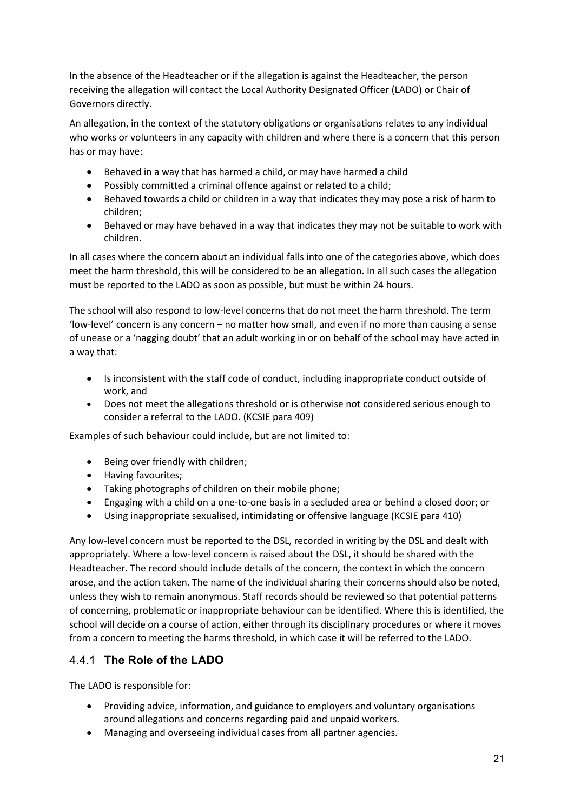In the absence of the Headteacher or if the allegation is against the Headteacher, the person receiving the allegation will contact the Local Authority Designated Officer (LADO) or Chair of Governors directly.

An allegation, in the context of the statutory obligations or organisations relates to any individual who works or volunteers in any capacity with children and where there is a concern that this person has or may have:

- Behaved in a way that has harmed a child, or may have harmed a child
- Possibly committed a criminal offence against or related to a child;
- Behaved towards a child or children in a way that indicates they may pose a risk of harm to children;
- Behaved or may have behaved in a way that indicates they may not be suitable to work with children.

In all cases where the concern about an individual falls into one of the categories above, which does meet the harm threshold, this will be considered to be an allegation. In all such cases the allegation must be reported to the LADO as soon as possible, but must be within 24 hours.

The school will also respond to low-level concerns that do not meet the harm threshold. The term 'low-level' concern is any concern – no matter how small, and even if no more than causing a sense of unease or a 'nagging doubt' that an adult working in or on behalf of the school may have acted in a way that:

- Is inconsistent with the staff code of conduct, including inappropriate conduct outside of work, and
- Does not meet the allegations threshold or is otherwise not considered serious enough to consider a referral to the LADO. (KCSIE para 409)

Examples of such behaviour could include, but are not limited to:

- Being over friendly with children;
- Having favourites;
- Taking photographs of children on their mobile phone;
- Engaging with a child on a one-to-one basis in a secluded area or behind a closed door; or
- Using inappropriate sexualised, intimidating or offensive language (KCSIE para 410)

Any low-level concern must be reported to the DSL, recorded in writing by the DSL and dealt with appropriately. Where a low-level concern is raised about the DSL, it should be shared with the Headteacher. The record should include details of the concern, the context in which the concern arose, and the action taken. The name of the individual sharing their concerns should also be noted, unless they wish to remain anonymous. Staff records should be reviewed so that potential patterns of concerning, problematic or inappropriate behaviour can be identified. Where this is identified, the school will decide on a course of action, either through its disciplinary procedures or where it moves from a concern to meeting the harms threshold, in which case it will be referred to the LADO.

#### **The Role of the LADO**

The LADO is responsible for:

- Providing advice, information, and guidance to employers and voluntary organisations around allegations and concerns regarding paid and unpaid workers.
- Managing and overseeing individual cases from all partner agencies.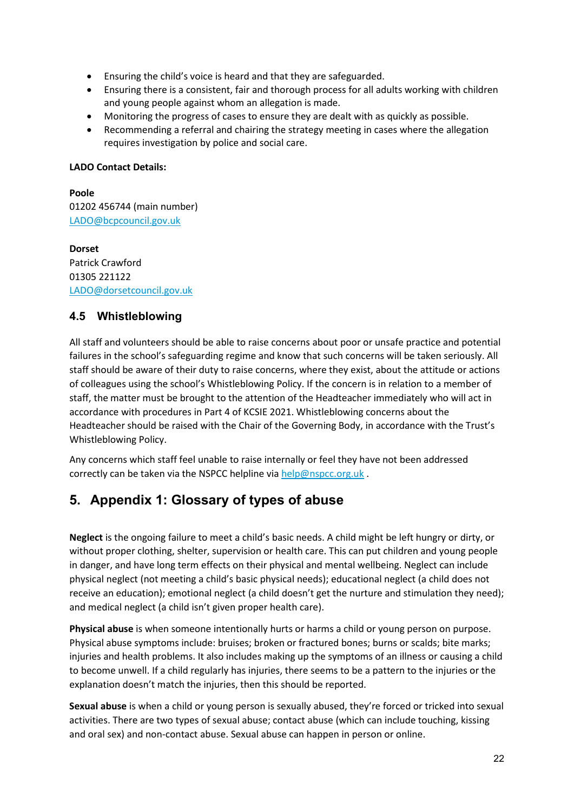- Ensuring the child's voice is heard and that they are safeguarded.
- Ensuring there is a consistent, fair and thorough process for all adults working with children and young people against whom an allegation is made.
- Monitoring the progress of cases to ensure they are dealt with as quickly as possible.
- Recommending a referral and chairing the strategy meeting in cases where the allegation requires investigation by police and social care.

#### **LADO Contact Details:**

**Poole** 01202 456744 (main number) [LADO@bcpcouncil.gov.uk](mailto:LADO@bcpcouncil.gov.uk)

**Dorset** Patrick Crawford 01305 221122 [LADO@dorsetcouncil.gov.uk](mailto:LADO@dorsetcouncil.gov.uk)

#### **4.5 Whistleblowing**

All staff and volunteers should be able to raise concerns about poor or unsafe practice and potential failures in the school's safeguarding regime and know that such concerns will be taken seriously. All staff should be aware of their duty to raise concerns, where they exist, about the attitude or actions of colleagues using the school's Whistleblowing Policy. If the concern is in relation to a member of staff, the matter must be brought to the attention of the Headteacher immediately who will act in accordance with procedures in Part 4 of KCSIE 2021. Whistleblowing concerns about the Headteacher should be raised with the Chair of the Governing Body, in accordance with the Trust's Whistleblowing Policy.

Any concerns which staff feel unable to raise internally or feel they have not been addressed correctly can be taken via the NSPCC helpline via [help@nspcc.org.uk](mailto:help@nspcc.org.uk).

# **5. Appendix 1: Glossary of types of abuse**

**Neglect** is the ongoing failure to meet a child's basic needs. A child might be left hungry or dirty, or without proper clothing, shelter, supervision or health care. This can put children and young people in danger, and have long term effects on their physical and mental wellbeing. Neglect can include physical neglect (not meeting a child's basic physical needs); educational neglect (a child does not receive an education); emotional neglect (a child doesn't get the nurture and stimulation they need); and medical neglect (a child isn't given proper health care).

**Physical abuse** is when someone intentionally hurts or harms a child or young person on purpose. Physical abuse symptoms include: bruises; broken or fractured bones; burns or scalds; bite marks; injuries and health problems. It also includes making up the symptoms of an illness or causing a child to become unwell. If a child regularly has injuries, there seems to be a pattern to the injuries or the explanation doesn't match the injuries, then this should be reported.

**Sexual abuse** is when a child or young person is sexually abused, they're forced or tricked into sexual activities. There are two types of sexual abuse; contact abuse (which can include touching, kissing and oral sex) and non-contact abuse. Sexual abuse can happen in person or online.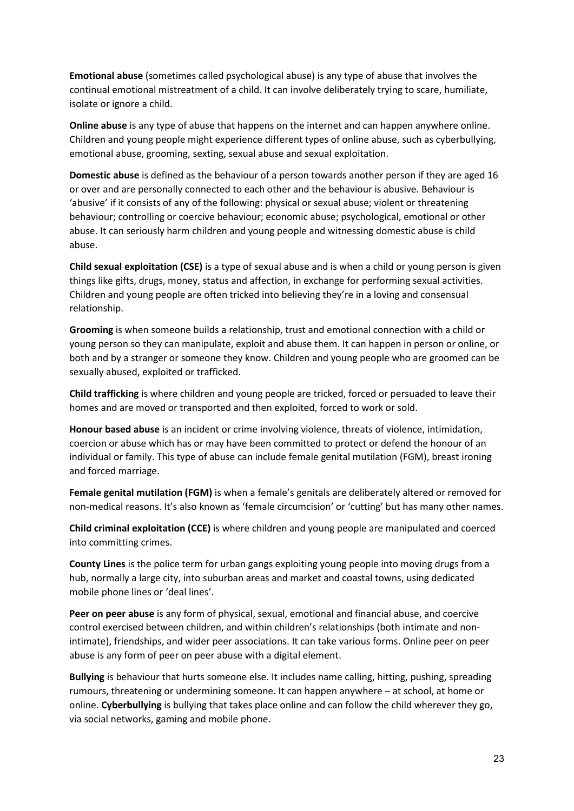**Emotional abuse** (sometimes called psychological abuse) is any type of abuse that involves the continual emotional mistreatment of a child. It can involve deliberately trying to scare, humiliate, isolate or ignore a child.

**Online abuse** is any type of abuse that happens on the internet and can happen anywhere online. Children and young people might experience different types of online abuse, such as cyberbullying, emotional abuse, grooming, sexting, sexual abuse and sexual exploitation.

**Domestic abuse** is defined as the behaviour of a person towards another person if they are aged 16 or over and are personally connected to each other and the behaviour is abusive. Behaviour is 'abusive' if it consists of any of the following: physical or sexual abuse; violent or threatening behaviour; controlling or coercive behaviour; economic abuse; psychological, emotional or other abuse. It can seriously harm children and young people and witnessing domestic abuse is child abuse.

**Child sexual exploitation (CSE)** is a type of sexual abuse and is when a child or young person is given things like gifts, drugs, money, status and affection, in exchange for performing sexual activities. Children and young people are often tricked into believing they're in a loving and consensual relationship.

**Grooming** is when someone builds a relationship, trust and emotional connection with a child or young person so they can manipulate, exploit and abuse them. It can happen in person or online, or both and by a stranger or someone they know. Children and young people who are groomed can be sexually abused, exploited or trafficked.

**Child trafficking** is where children and young people are tricked, forced or persuaded to leave their homes and are moved or transported and then exploited, forced to work or sold.

**Honour based abuse** is an incident or crime involving violence, threats of violence, intimidation, coercion or abuse which has or may have been committed to protect or defend the honour of an individual or family. This type of abuse can include female genital mutilation (FGM), breast ironing and forced marriage.

**Female genital mutilation (FGM)** is when a female's genitals are deliberately altered or removed for non-medical reasons. It's also known as 'female circumcision' or 'cutting' but has many other names.

**Child criminal exploitation (CCE)** is where children and young people are manipulated and coerced into committing crimes.

**County Lines** is the police term for urban gangs exploiting young people into moving drugs from a hub, normally a large city, into suburban areas and market and coastal towns, using dedicated mobile phone lines or 'deal lines'.

**Peer on peer abuse** is any form of physical, sexual, emotional and financial abuse, and coercive control exercised between children, and within children's relationships (both intimate and nonintimate), friendships, and wider peer associations. It can take various forms. Online peer on peer abuse is any form of peer on peer abuse with a digital element.

**Bullying** is behaviour that hurts someone else. It includes name calling, hitting, pushing, spreading rumours, threatening or undermining someone. It can happen anywhere – at school, at home or online. **Cyberbullying** is bullying that takes place online and can follow the child wherever they go, via social networks, gaming and mobile phone.